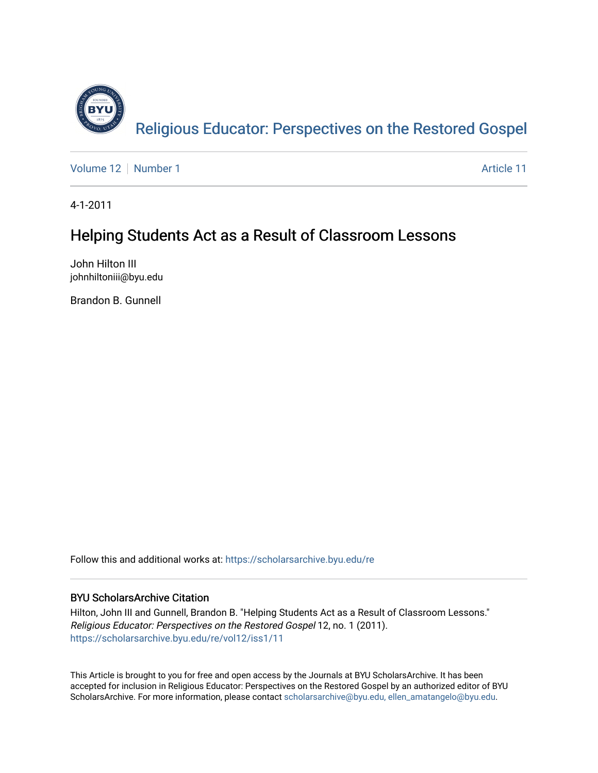

[Volume 12](https://scholarsarchive.byu.edu/re/vol12) [Number 1](https://scholarsarchive.byu.edu/re/vol12/iss1) Article 11

4-1-2011

# Helping Students Act as a Result of Classroom Lessons

John Hilton III johnhiltoniii@byu.edu

Brandon B. Gunnell

Follow this and additional works at: [https://scholarsarchive.byu.edu/re](https://scholarsarchive.byu.edu/re?utm_source=scholarsarchive.byu.edu%2Fre%2Fvol12%2Fiss1%2F11&utm_medium=PDF&utm_campaign=PDFCoverPages)

# BYU ScholarsArchive Citation

Hilton, John III and Gunnell, Brandon B. "Helping Students Act as a Result of Classroom Lessons." Religious Educator: Perspectives on the Restored Gospel 12, no. 1 (2011). [https://scholarsarchive.byu.edu/re/vol12/iss1/11](https://scholarsarchive.byu.edu/re/vol12/iss1/11?utm_source=scholarsarchive.byu.edu%2Fre%2Fvol12%2Fiss1%2F11&utm_medium=PDF&utm_campaign=PDFCoverPages) 

This Article is brought to you for free and open access by the Journals at BYU ScholarsArchive. It has been accepted for inclusion in Religious Educator: Perspectives on the Restored Gospel by an authorized editor of BYU ScholarsArchive. For more information, please contact [scholarsarchive@byu.edu, ellen\\_amatangelo@byu.edu.](mailto:scholarsarchive@byu.edu,%20ellen_amatangelo@byu.edu)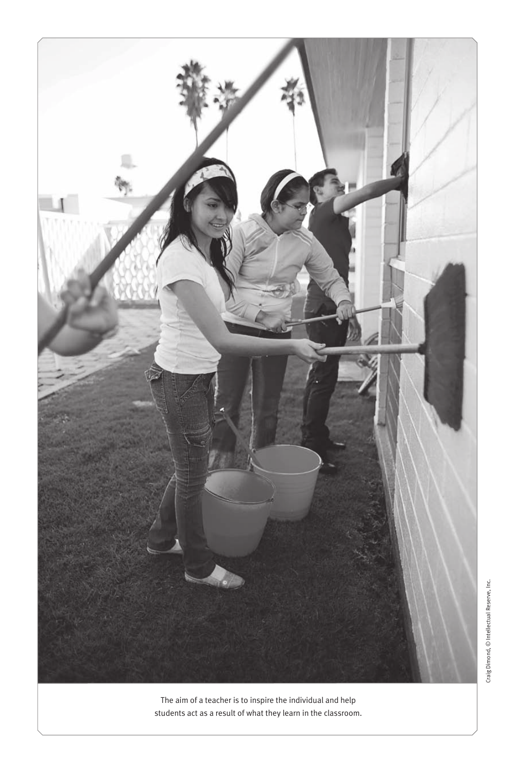

The aim of a teacher is to inspire the individual and help students act as a result of what they learn in the classroom.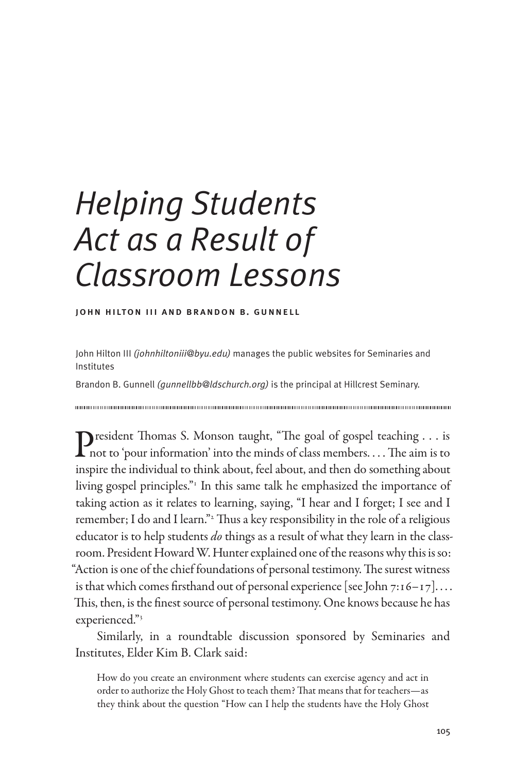# *Helping Students Act as a Result of Classroom Lessons*

john hilton iii and brandon b. gunnell

John Hilton III *(johnhiltoniii@byu.edu)* manages the public websites for Seminaries and Institutes

Brandon B. Gunnell *(gunnellbb@ldschurch.org)* is the principal at Hillcrest Seminary.

President Thomas S. Monson taught, "The goal of gospel teaching . . . is  $\Gamma$  not to 'pour information' into the minds of class members.  $\dots$  The aim is to inspire the individual to think about, feel about, and then do something about living gospel principles."<sup>1</sup> In this same talk he emphasized the importance of taking action as it relates to learning, saying, "I hear and I forget; I see and I remember; I do and I learn."<sup>2</sup> Thus a key responsibility in the role of a religious educator is to help students *do* things as a result of what they learn in the classroom. President Howard W. Hunter explained one of the reasons why this is so: "Action is one of the chief foundations of personal testimony. The surest witness is that which comes firsthand out of personal experience [see John 7:16–17].  $\dots$ This, then, is the finest source of personal testimony. One knows because he has experienced."3

Similarly, in a roundtable discussion sponsored by Seminaries and Institutes, Elder Kim B. Clark said:

How do you create an environment where students can exercise agency and act in order to authorize the Holy Ghost to teach them? That means that for teachers—as they think about the question "How can I help the students have the Holy Ghost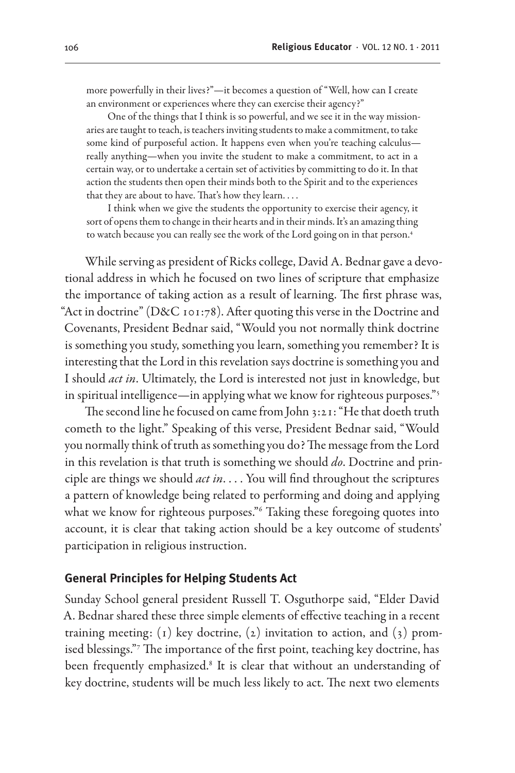more powerfully in their lives?"—it becomes a question of "Well, how can I create an environment or experiences where they can exercise their agency?"

One of the things that I think is so powerful, and we see it in the way missionaries are taught to teach, is teachers inviting students to make a commitment, to take some kind of purposeful action. It happens even when you're teaching calculus really anything—when you invite the student to make a commitment, to act in a certain way, or to undertake a certain set of activities by committing to do it. In that action the students then open their minds both to the Spirit and to the experiences that they are about to have. That's how they learn. . . .

I think when we give the students the opportunity to exercise their agency, it sort of opens them to change in their hearts and in their minds. It's an amazing thing to watch because you can really see the work of the Lord going on in that person.4

While serving as president of Ricks college, David A. Bednar gave a devotional address in which he focused on two lines of scripture that emphasize the importance of taking action as a result of learning. The first phrase was, "Act in doctrine" (D&C 101:78). After quoting this verse in the Doctrine and Covenants, President Bednar said, "Would you not normally think doctrine is something you study, something you learn, something you remember? It is interesting that the Lord in this revelation says doctrine is something you and I should *act in*. Ultimately, the Lord is interested not just in knowledge, but in spiritual intelligence—in applying what we know for righteous purposes."<sup>5</sup>

The second line he focused on came from John 3:21: "He that doeth truth cometh to the light." Speaking of this verse, President Bednar said, "Would you normally think of truth as something you do? The message from the Lord in this revelation is that truth is something we should *do*. Doctrine and principle are things we should *act in*. . . . You will find throughout the scriptures a pattern of knowledge being related to performing and doing and applying what we know for righteous purposes."6 Taking these foregoing quotes into account, it is clear that taking action should be a key outcome of students' participation in religious instruction.

#### **General Principles for Helping Students Act**

Sunday School general president Russell T. Osguthorpe said, "Elder David A. Bednar shared these three simple elements of effective teaching in a recent training meeting: (1) key doctrine, (2) invitation to action, and (3) promised blessings."7 The importance of the first point, teaching key doctrine, has been frequently emphasized.<sup>8</sup> It is clear that without an understanding of key doctrine, students will be much less likely to act. The next two elements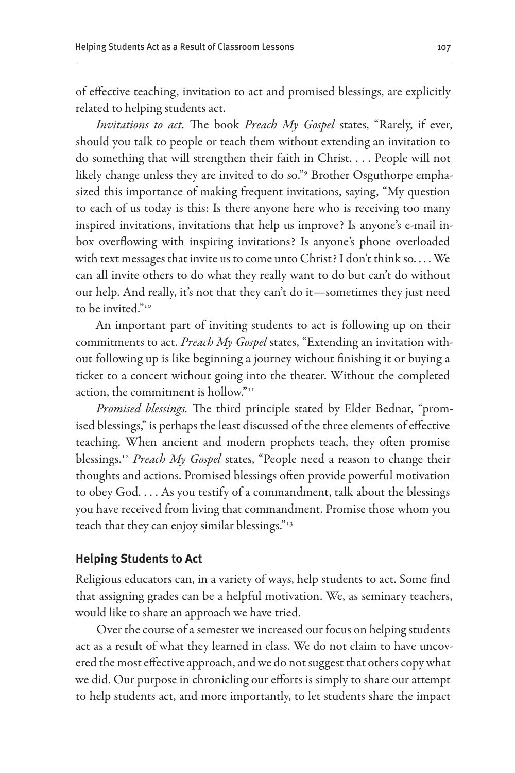of effective teaching, invitation to act and promised blessings, are explicitly related to helping students act.

*Invitations to act.* The book *Preach My Gospel* states, "Rarely, if ever, should you talk to people or teach them without extending an invitation to do something that will strengthen their faith in Christ. . . . People will not likely change unless they are invited to do so."9 Brother Osguthorpe emphasized this importance of making frequent invitations, saying, "My question to each of us today is this: Is there anyone here who is receiving too many inspired invitations, invitations that help us improve? Is anyone's e-mail inbox overflowing with inspiring invitations? Is anyone's phone overloaded with text messages that invite us to come unto Christ? I don't think so. . . . We can all invite others to do what they really want to do but can't do without our help. And really, it's not that they can't do it—sometimes they just need to be invited."<sup>10</sup>

An important part of inviting students to act is following up on their commitments to act. *Preach My Gospel* states, "Extending an invitation without following up is like beginning a journey without finishing it or buying a ticket to a concert without going into the theater. Without the completed action, the commitment is hollow."11

*Promised blessings.* The third principle stated by Elder Bednar, "promised blessings," is perhaps the least discussed of the three elements of effective teaching. When ancient and modern prophets teach, they often promise blessings.12 *Preach My Gospel* states, "People need a reason to change their thoughts and actions. Promised blessings often provide powerful motivation to obey God. . . . As you testify of a commandment, talk about the blessings you have received from living that commandment. Promise those whom you teach that they can enjoy similar blessings."13

#### **Helping Students to Act**

Religious educators can, in a variety of ways, help students to act. Some find that assigning grades can be a helpful motivation. We, as seminary teachers, would like to share an approach we have tried.

Over the course of a semester we increased our focus on helping students act as a result of what they learned in class. We do not claim to have uncovered the most effective approach, and we do not suggest that others copy what we did. Our purpose in chronicling our efforts is simply to share our attempt to help students act, and more importantly, to let students share the impact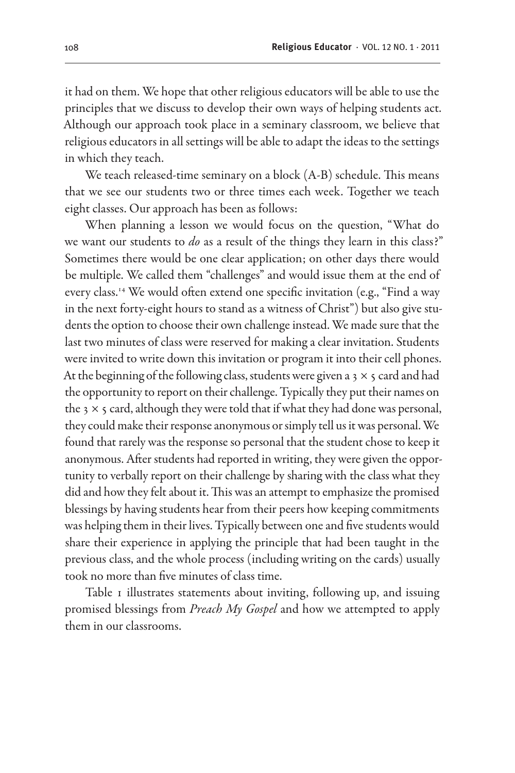it had on them. We hope that other religious educators will be able to use the principles that we discuss to develop their own ways of helping students act. Although our approach took place in a seminary classroom, we believe that religious educators in all settings will be able to adapt the ideas to the settings in which they teach.

We teach released-time seminary on a block (A-B) schedule. This means that we see our students two or three times each week. Together we teach eight classes. Our approach has been as follows:

When planning a lesson we would focus on the question, "What do we want our students to *do* as a result of the things they learn in this class?" Sometimes there would be one clear application; on other days there would be multiple. We called them "challenges" and would issue them at the end of every class.<sup>14</sup> We would often extend one specific invitation (e.g., "Find a way in the next forty-eight hours to stand as a witness of Christ") but also give students the option to choose their own challenge instead. We made sure that the last two minutes of class were reserved for making a clear invitation. Students were invited to write down this invitation or program it into their cell phones. At the beginning of the following class, students were given a 3  $\times$  5 card and had the opportunity to report on their challenge. Typically they put their names on the  $3 \times 5$  card, although they were told that if what they had done was personal, they could make their response anonymous or simply tell us it was personal. We found that rarely was the response so personal that the student chose to keep it anonymous. After students had reported in writing, they were given the opportunity to verbally report on their challenge by sharing with the class what they did and how they felt about it. This was an attempt to emphasize the promised blessings by having students hear from their peers how keeping commitments was helping them in their lives. Typically between one and five students would share their experience in applying the principle that had been taught in the previous class, and the whole process (including writing on the cards) usually took no more than five minutes of class time.

Table 1 illustrates statements about inviting, following up, and issuing promised blessings from *Preach My Gospel* and how we attempted to apply them in our classrooms.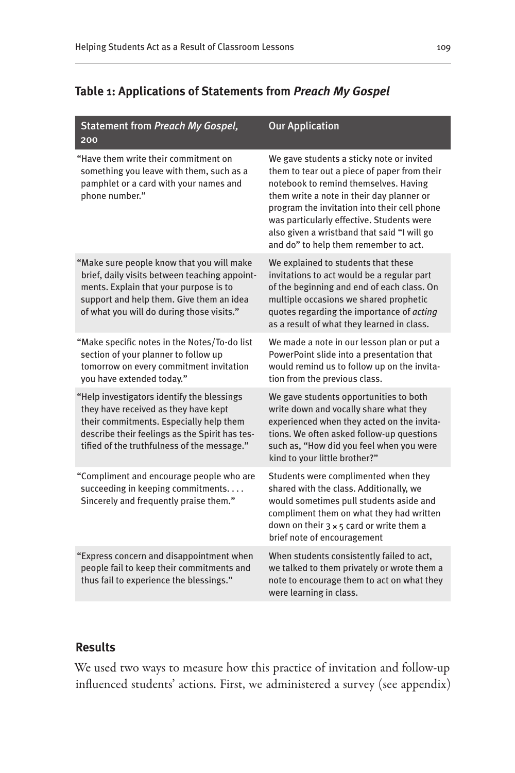# **Table 1: Applications of Statements from** *Preach My Gospel*

| <b>Statement from Preach My Gospel,</b><br>200                                                                                                                                                                                 | <b>Our Application</b>                                                                                                                                                                                                                                                                                                                                               |
|--------------------------------------------------------------------------------------------------------------------------------------------------------------------------------------------------------------------------------|----------------------------------------------------------------------------------------------------------------------------------------------------------------------------------------------------------------------------------------------------------------------------------------------------------------------------------------------------------------------|
| "Have them write their commitment on<br>something you leave with them, such as a<br>pamphlet or a card with your names and<br>phone number."                                                                                   | We gave students a sticky note or invited<br>them to tear out a piece of paper from their<br>notebook to remind themselves. Having<br>them write a note in their day planner or<br>program the invitation into their cell phone<br>was particularly effective. Students were<br>also given a wristband that said "I will go<br>and do" to help them remember to act. |
| "Make sure people know that you will make<br>brief, daily visits between teaching appoint-<br>ments. Explain that your purpose is to<br>support and help them. Give them an idea<br>of what you will do during those visits."  | We explained to students that these<br>invitations to act would be a regular part<br>of the beginning and end of each class. On<br>multiple occasions we shared prophetic<br>quotes regarding the importance of acting<br>as a result of what they learned in class.                                                                                                 |
| "Make specific notes in the Notes/To-do list<br>section of your planner to follow up<br>tomorrow on every commitment invitation<br>you have extended today."                                                                   | We made a note in our lesson plan or put a<br>PowerPoint slide into a presentation that<br>would remind us to follow up on the invita-<br>tion from the previous class.                                                                                                                                                                                              |
| "Help investigators identify the blessings<br>they have received as they have kept<br>their commitments. Especially help them<br>describe their feelings as the Spirit has tes-<br>tified of the truthfulness of the message." | We gave students opportunities to both<br>write down and vocally share what they<br>experienced when they acted on the invita-<br>tions. We often asked follow-up questions<br>such as, "How did you feel when you were<br>kind to your little brother?"                                                                                                             |
| "Compliment and encourage people who are<br>succeeding in keeping commitments.<br>Sincerely and frequently praise them."                                                                                                       | Students were complimented when they<br>shared with the class. Additionally, we<br>would sometimes pull students aside and<br>compliment them on what they had written<br>down on their $3 \times 5$ card or write them a<br>brief note of encouragement                                                                                                             |
| "Express concern and disappointment when<br>people fail to keep their commitments and<br>thus fail to experience the blessings."                                                                                               | When students consistently failed to act,<br>we talked to them privately or wrote them a<br>note to encourage them to act on what they<br>were learning in class.                                                                                                                                                                                                    |

## **Results**

We used two ways to measure how this practice of invitation and follow-up influenced students' actions. First, we administered a survey (see appendix)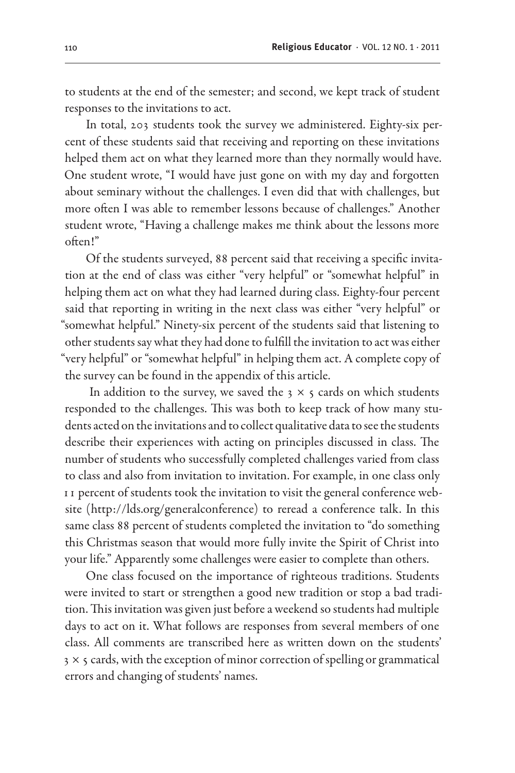to students at the end of the semester; and second, we kept track of student responses to the invitations to act.

In total, 203 students took the survey we administered. Eighty-six percent of these students said that receiving and reporting on these invitations helped them act on what they learned more than they normally would have. One student wrote, "I would have just gone on with my day and forgotten about seminary without the challenges. I even did that with challenges, but more often I was able to remember lessons because of challenges." Another student wrote, "Having a challenge makes me think about the lessons more often!"

Of the students surveyed, 88 percent said that receiving a specific invitation at the end of class was either "very helpful" or "somewhat helpful" in helping them act on what they had learned during class. Eighty-four percent said that reporting in writing in the next class was either "very helpful" or "somewhat helpful." Ninety-six percent of the students said that listening to other students say what they had done to fulfill the invitation to act was either "very helpful" or "somewhat helpful" in helping them act. A complete copy of the survey can be found in the appendix of this article.

In addition to the survey, we saved the  $3 \times 5$  cards on which students responded to the challenges. This was both to keep track of how many students acted on the invitations and to collect qualitative data to see the students describe their experiences with acting on principles discussed in class. The number of students who successfully completed challenges varied from class to class and also from invitation to invitation. For example, in one class only 11 percent of students took the invitation to visit the general conference website (http://lds.org/generalconference) to reread a conference talk. In this same class 88 percent of students completed the invitation to "do something this Christmas season that would more fully invite the Spirit of Christ into your life." Apparently some challenges were easier to complete than others.

One class focused on the importance of righteous traditions. Students were invited to start or strengthen a good new tradition or stop a bad tradition. This invitation was given just before a weekend so students had multiple days to act on it. What follows are responses from several members of one class. All comments are transcribed here as written down on the students'  $3 \times 5$  cards, with the exception of minor correction of spelling or grammatical errors and changing of students' names.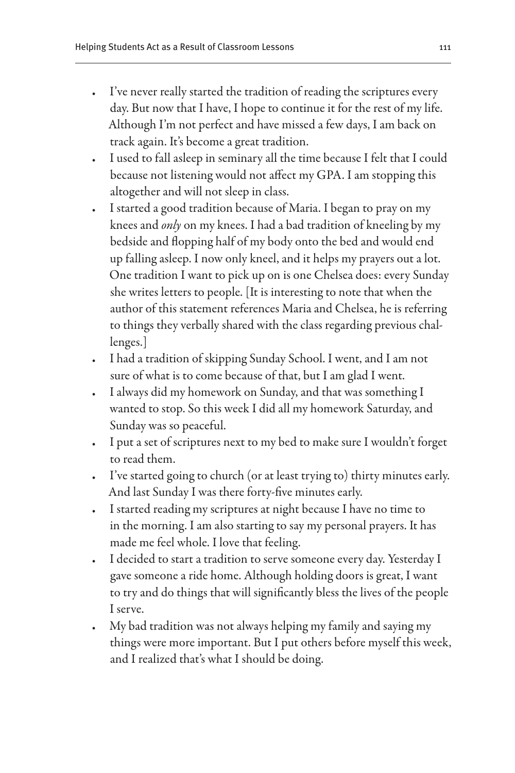- I've never really started the tradition of reading the scriptures every day. But now that I have, I hope to continue it for the rest of my life. Although I'm not perfect and have missed a few days, I am back on track again. It's become a great tradition.
- I used to fall asleep in seminary all the time because I felt that I could because not listening would not affect my GPA. I am stopping this altogether and will not sleep in class.
- I started a good tradition because of Maria. I began to pray on my knees and *only* on my knees. I had a bad tradition of kneeling by my bedside and flopping half of my body onto the bed and would end up falling asleep. I now only kneel, and it helps my prayers out a lot. One tradition I want to pick up on is one Chelsea does: every Sunday she writes letters to people. [It is interesting to note that when the author of this statement references Maria and Chelsea, he is referring to things they verbally shared with the class regarding previous challenges.]
- • I had a tradition of skipping Sunday School. I went, and I am not sure of what is to come because of that, but I am glad I went.
- I always did my homework on Sunday, and that was something I wanted to stop. So this week I did all my homework Saturday, and Sunday was so peaceful.
- I put a set of scriptures next to my bed to make sure I wouldn't forget to read them.
- • I've started going to church (or at least trying to) thirty minutes early. And last Sunday I was there forty-five minutes early.
- • I started reading my scriptures at night because I have no time to in the morning. I am also starting to say my personal prayers. It has made me feel whole. I love that feeling.
- I decided to start a tradition to serve someone every day. Yesterday I gave someone a ride home. Although holding doors is great, I want to try and do things that will significantly bless the lives of the people I serve.
- My bad tradition was not always helping my family and saying my things were more important. But I put others before myself this week, and I realized that's what I should be doing.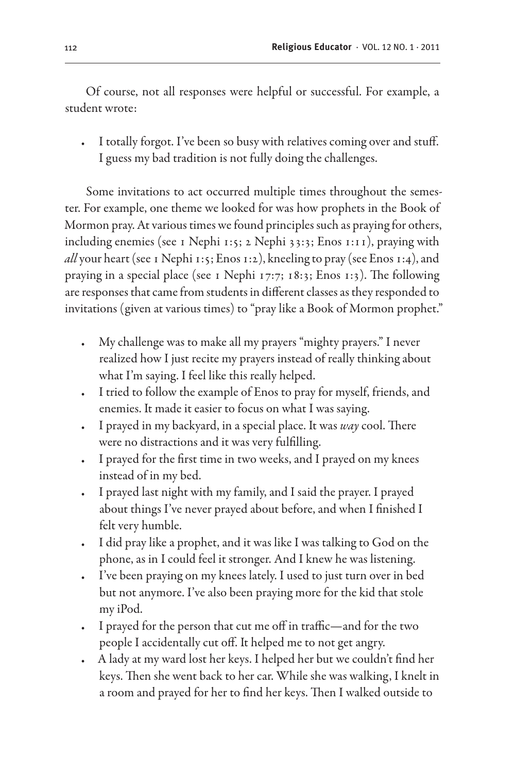Of course, not all responses were helpful or successful. For example, a student wrote:

I totally forgot. I've been so busy with relatives coming over and stuff. I guess my bad tradition is not fully doing the challenges.

Some invitations to act occurred multiple times throughout the semester. For example, one theme we looked for was how prophets in the Book of Mormon pray. At various times we found principles such as praying for others, including enemies (see 1 Nephi 1:5; 2 Nephi 33:3; Enos 1:11), praying with *all* your heart (see 1 Nephi 1:5; Enos 1:2), kneeling to pray (see Enos 1:4), and praying in a special place (see 1 Nephi 17:7; 18:3; Enos 1:3). The following are responses that came from students in different classes as they responded to invitations (given at various times) to "pray like a Book of Mormon prophet."

- My challenge was to make all my prayers "mighty prayers." I never realized how I just recite my prayers instead of really thinking about what I'm saying. I feel like this really helped.
- I tried to follow the example of Enos to pray for myself, friends, and enemies. It made it easier to focus on what I was saying.
- • I prayed in my backyard, in a special place. It was *way* cool. There were no distractions and it was very fulfilling.
- I prayed for the first time in two weeks, and I prayed on my knees instead of in my bed.
- I prayed last night with my family, and I said the prayer. I prayed about things I've never prayed about before, and when I finished I felt very humble.
- I did pray like a prophet, and it was like I was talking to God on the phone, as in I could feel it stronger. And I knew he was listening.
- I've been praying on my knees lately. I used to just turn over in bed but not anymore. I've also been praying more for the kid that stole my iPod.
- I prayed for the person that cut me off in traffic—and for the two people I accidentally cut off. It helped me to not get angry.
- A lady at my ward lost her keys. I helped her but we couldn't find her keys. Then she went back to her car. While she was walking, I knelt in a room and prayed for her to find her keys. Then I walked outside to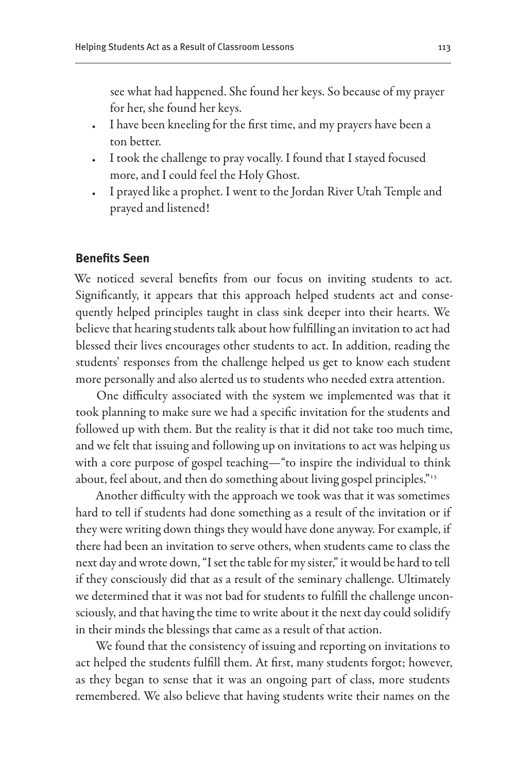see what had happened. She found her keys. So because of my prayer for her, she found her keys.

- I have been kneeling for the first time, and my prayers have been a ton better.
- I took the challenge to pray vocally. I found that I stayed focused more, and I could feel the Holy Ghost.
- I prayed like a prophet. I went to the Jordan River Utah Temple and prayed and listened!

#### **Benefits Seen**

We noticed several benefits from our focus on inviting students to act. Significantly, it appears that this approach helped students act and consequently helped principles taught in class sink deeper into their hearts. We believe that hearing students talk about how fulfilling an invitation to act had blessed their lives encourages other students to act. In addition, reading the students' responses from the challenge helped us get to know each student more personally and also alerted us to students who needed extra attention.

One difficulty associated with the system we implemented was that it took planning to make sure we had a specific invitation for the students and followed up with them. But the reality is that it did not take too much time, and we felt that issuing and following up on invitations to act was helping us with a core purpose of gospel teaching—"to inspire the individual to think about, feel about, and then do something about living gospel principles."<sup>15</sup>

Another difficulty with the approach we took was that it was sometimes hard to tell if students had done something as a result of the invitation or if they were writing down things they would have done anyway. For example, if there had been an invitation to serve others, when students came to class the next day and wrote down, "I set the table for my sister," it would be hard to tell if they consciously did that as a result of the seminary challenge. Ultimately we determined that it was not bad for students to fulfill the challenge unconsciously, and that having the time to write about it the next day could solidify in their minds the blessings that came as a result of that action.

We found that the consistency of issuing and reporting on invitations to act helped the students fulfill them. At first, many students forgot; however, as they began to sense that it was an ongoing part of class, more students remembered. We also believe that having students write their names on the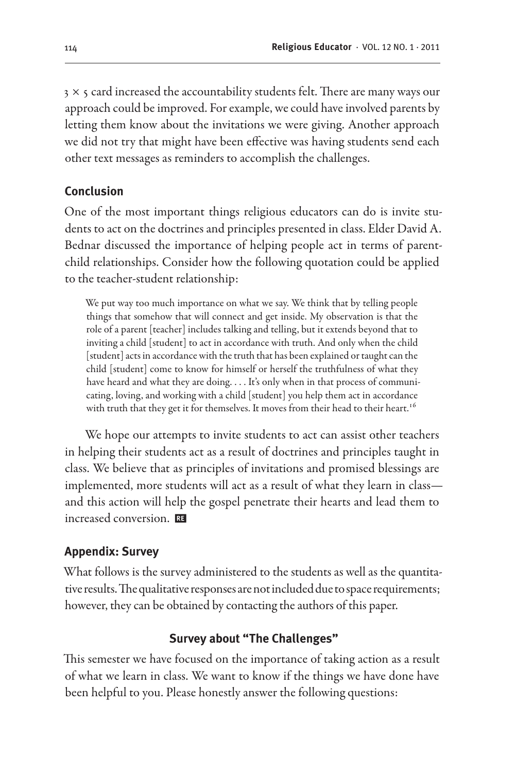$3 \times$  5 card increased the accountability students felt. There are many ways our approach could be improved. For example, we could have involved parents by letting them know about the invitations we were giving. Another approach we did not try that might have been effective was having students send each other text messages as reminders to accomplish the challenges.

#### **Conclusion**

One of the most important things religious educators can do is invite students to act on the doctrines and principles presented in class. Elder David A. Bednar discussed the importance of helping people act in terms of parentchild relationships. Consider how the following quotation could be applied to the teacher-student relationship:

We put way too much importance on what we say. We think that by telling people things that somehow that will connect and get inside. My observation is that the role of a parent [teacher] includes talking and telling, but it extends beyond that to inviting a child [student] to act in accordance with truth. And only when the child [student] acts in accordance with the truth that has been explained or taught can the child [student] come to know for himself or herself the truthfulness of what they have heard and what they are doing. . . . It's only when in that process of communicating, loving, and working with a child [student] you help them act in accordance with truth that they get it for themselves. It moves from their head to their heart.<sup>16</sup>

We hope our attempts to invite students to act can assist other teachers in helping their students act as a result of doctrines and principles taught in class. We believe that as principles of invitations and promised blessings are implemented, more students will act as a result of what they learn in class and this action will help the gospel penetrate their hearts and lead them to increased conversion.

#### **Appendix: Survey**

What follows is the survey administered to the students as well as the quantitative results. The qualitative responses are not included due to space requirements; however, they can be obtained by contacting the authors of this paper.

#### **Survey about "The Challenges"**

This semester we have focused on the importance of taking action as a result of what we learn in class. We want to know if the things we have done have been helpful to you. Please honestly answer the following questions: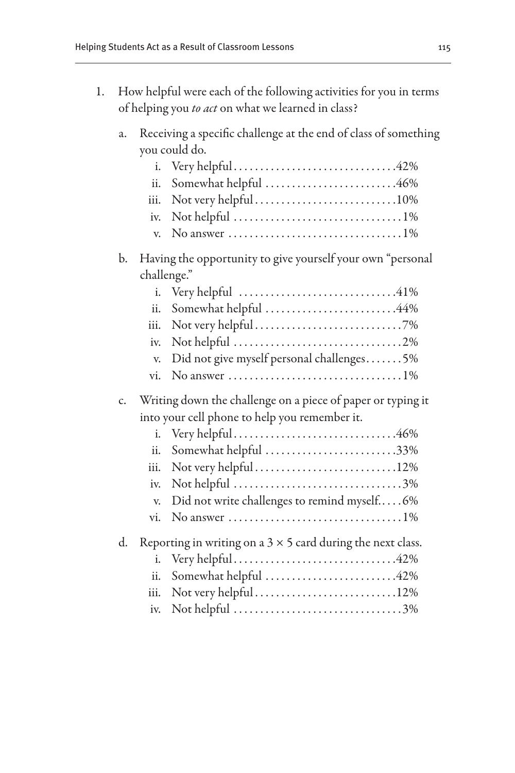1. How helpful were each of the following activities for you in terms of helping you *to act* on what we learned in class?

# a. Receiving a specific challenge at the end of class of something you could do.

|    | i.   |                                                                                       |
|----|------|---------------------------------------------------------------------------------------|
|    | ii.  | Somewhat helpful 46%                                                                  |
|    | iii. | Not very helpful10%                                                                   |
|    | iv.  |                                                                                       |
|    | V.   | No answer $\ldots \ldots \ldots \ldots \ldots \ldots \ldots \ldots \ldots \ldots 1\%$ |
| b. |      | Having the opportunity to give yourself your own "personal                            |
|    |      | challenge."                                                                           |
|    | i.   |                                                                                       |
|    | ii.  | Somewhat helpful 44%                                                                  |
|    | iii. |                                                                                       |
|    | iv.  |                                                                                       |
|    | V.   | Did not give myself personal challenges5%                                             |
|    | vi.  | No answer $\dots \dots \dots \dots \dots \dots \dots \dots \dots \dots 1\%$           |
| c. |      | Writing down the challenge on a piece of paper or typing it                           |
|    |      | into your cell phone to help you remember it.                                         |
|    | i.   |                                                                                       |
|    | ii.  | Somewhat helpful 33%                                                                  |
|    | iii. | Not very helpful12%                                                                   |
|    | iv.  | Not helpful 3%                                                                        |
|    | V.   | Did not write challenges to remind myself6%                                           |
|    | vi.  | No answer $\dots \dots \dots \dots \dots \dots \dots \dots \dots \dots 1\%$           |
| d. |      | Reporting in writing on a $3 \times 5$ card during the next class.                    |
|    | i.   |                                                                                       |
|    | ii.  | Somewhat helpful 42%                                                                  |
|    | iii. | Not very helpful12%                                                                   |
|    | iv.  | Not helpful 3%                                                                        |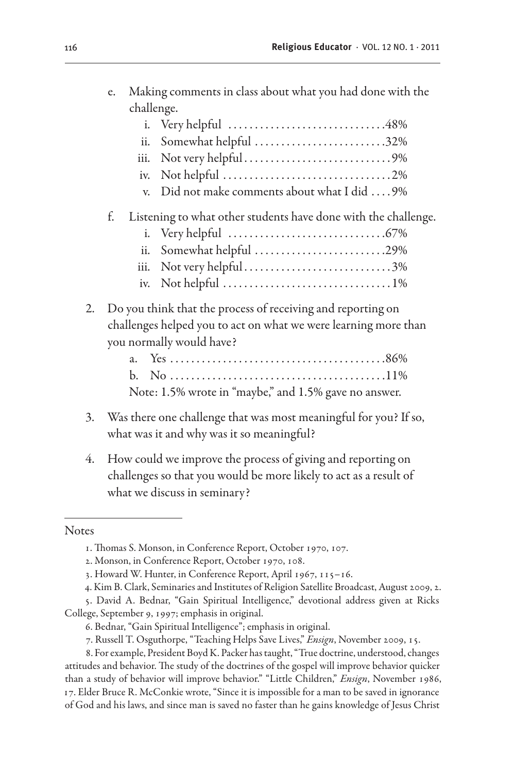| challenge.        |                                                                |  |
|-------------------|----------------------------------------------------------------|--|
|                   |                                                                |  |
| ii.               | Somewhat helpful 32%                                           |  |
| 111.              |                                                                |  |
|                   |                                                                |  |
| V.                | Did not make comments about what I did  9%                     |  |
| f.                | Listening to what other students have done with the challenge. |  |
|                   |                                                                |  |
| $\overline{11}$ . | Somewhat helpful 29%                                           |  |
| iii.              | Not very helpful3%                                             |  |
|                   |                                                                |  |
|                   |                                                                |  |

e. Making comments in class about what you had done with the

## 2. Do you think that the process of receiving and reporting on challenges helped you to act on what we were learning more than you normally would have?

| Note: 1.5% wrote in "maybe," and 1.5% gave no answer. |  |
|-------------------------------------------------------|--|

- 3. Was there one challenge that was most meaningful for you? If so, what was it and why was it so meaningful?
- 4. How could we improve the process of giving and reporting on challenges so that you would be more likely to act as a result of what we discuss in seminary?

#### **Notes**

<sup>1.</sup> Thomas S. Monson, in Conference Report, October 1970, 107.

<sup>2.</sup> Monson, in Conference Report, October 1970, 108.

<sup>3.</sup> Howard W. Hunter, in Conference Report, April 1967, 115–16.

<sup>4.</sup> Kim B. Clark, Seminaries and Institutes of Religion Satellite Broadcast, August 2009, 2.

<sup>5.</sup> David A. Bednar, "Gain Spiritual Intelligence," devotional address given at Ricks College, September 9, 1997; emphasis in original.

<sup>6.</sup> Bednar, "Gain Spiritual Intelligence"; emphasis in original.

<sup>7.</sup> Russell T. Osguthorpe, "Teaching Helps Save Lives," *Ensign*, November 2009, 15.

<sup>8.</sup> For example, President Boyd K. Packer has taught, "True doctrine, understood, changes attitudes and behavior. The study of the doctrines of the gospel will improve behavior quicker than a study of behavior will improve behavior." "Little Children," *Ensign*, November 1986, 17. Elder Bruce R. McConkie wrote, "Since it is impossible for a man to be saved in ignorance of God and his laws, and since man is saved no faster than he gains knowledge of Jesus Christ